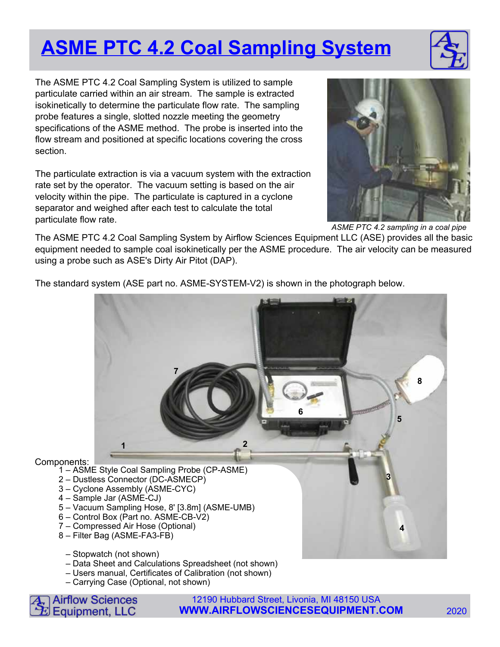## **ASME PTC 4.2 Coal Sampling System**



The ASME PTC 4.2 Coal Sampling System is utilized to sample particulate carried within an air stream. The sample is extracted isokinetically to determine the particulate flow rate. The sampling probe features a single, slotted nozzle meeting the geometry specifications of the ASME method. The probe is inserted into the flow stream and positioned at specific locations covering the cross section.

The particulate extraction is via a vacuum system with the extraction rate set by the operator. The vacuum setting is based on the air velocity within the pipe. The particulate is captured in a cyclone separator and weighed after each test to calculate the total particulate flow rate.



ASME PTC 4.2 sampling in a coal pipe

The ASME PTC 4.2 Coal Sampling System by Airflow Sciences Equipment LLC (ASE) provides all the basic equipment needed to sample coal isokinetically per the ASME procedure. The air velocity can be measured using a probe such as ASE's Dirty Air Pitot (DAP).

The standard system (ASE part no. ASME-SYSTEM-V2) is shown in the photograph below.



- Data Sheet and Calculations Spreadsheet (not shown)
- Users manual, Certificates of Calibration (not shown)
- Carrying Case (Optional, not shown)



12190 Hubbard Street, Livonia, MI 48150 USA **WWW.AIRFLOWSCIENCESEQUIPMENT.COM** 2020